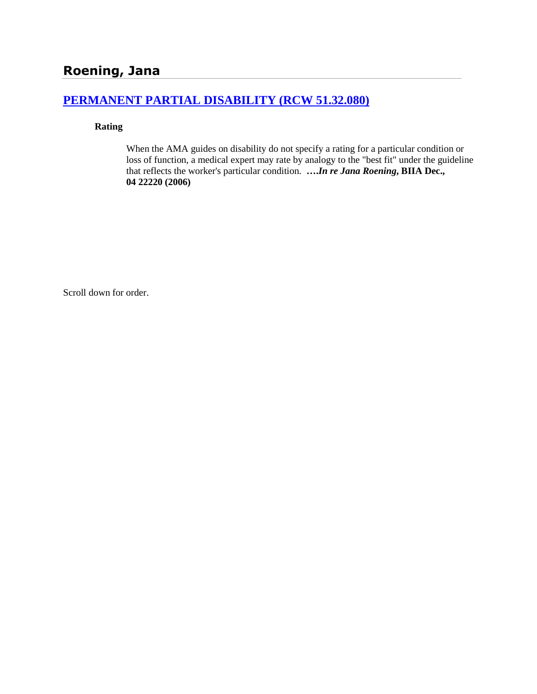# **[PERMANENT PARTIAL DISABILITY \(RCW 51.32.080\)](http://www.biia.wa.gov/SDSubjectIndex.html#PERMANENT_PARTIAL_DISABILITY)**

#### **Rating**

When the AMA guides on disability do not specify a rating for a particular condition or loss of function, a medical expert may rate by analogy to the "best fit" under the guideline that reflects the worker's particular condition. **….***In re Jana Roening***, BIIA Dec., 04 22220 (2006)**

Scroll down for order.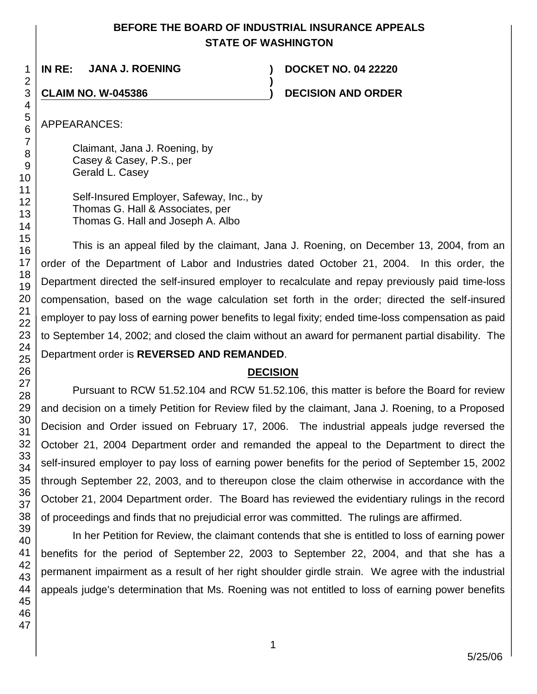## **BEFORE THE BOARD OF INDUSTRIAL INSURANCE APPEALS STATE OF WASHINGTON**

**)**

**IN RE: JANA J. ROENING ) DOCKET NO. 04 22220**

**CLAIM NO. W-045386 ) DECISION AND ORDER**

APPEARANCES:

Claimant, Jana J. Roening, by Casey & Casey, P.S., per Gerald L. Casey

Self-Insured Employer, Safeway, Inc., by Thomas G. Hall & Associates, per Thomas G. Hall and Joseph A. Albo

This is an appeal filed by the claimant, Jana J. Roening, on December 13, 2004, from an order of the Department of Labor and Industries dated October 21, 2004. In this order, the Department directed the self-insured employer to recalculate and repay previously paid time-loss compensation, based on the wage calculation set forth in the order; directed the self-insured employer to pay loss of earning power benefits to legal fixity; ended time-loss compensation as paid to September 14, 2002; and closed the claim without an award for permanent partial disability. The Department order is **REVERSED AND REMANDED**.

## **DECISION**

Pursuant to RCW 51.52.104 and RCW 51.52.106, this matter is before the Board for review and decision on a timely Petition for Review filed by the claimant, Jana J. Roening, to a Proposed Decision and Order issued on February 17, 2006. The industrial appeals judge reversed the October 21, 2004 Department order and remanded the appeal to the Department to direct the self-insured employer to pay loss of earning power benefits for the period of September 15, 2002 through September 22, 2003, and to thereupon close the claim otherwise in accordance with the October 21, 2004 Department order. The Board has reviewed the evidentiary rulings in the record of proceedings and finds that no prejudicial error was committed. The rulings are affirmed.

In her Petition for Review, the claimant contends that she is entitled to loss of earning power benefits for the period of September 22, 2003 to September 22, 2004, and that she has a permanent impairment as a result of her right shoulder girdle strain. We agree with the industrial appeals judge's determination that Ms. Roening was not entitled to loss of earning power benefits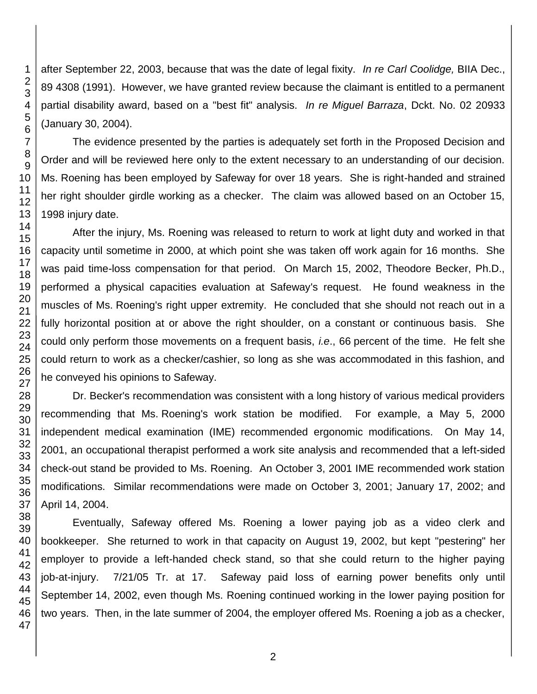after September 22, 2003, because that was the date of legal fixity. *In re Carl Coolidge,* BIIA Dec., 89 4308 (1991). However, we have granted review because the claimant is entitled to a permanent partial disability award, based on a "best fit" analysis. *In re Miguel Barraza*, Dckt. No. 02 20933 (January 30, 2004).

The evidence presented by the parties is adequately set forth in the Proposed Decision and Order and will be reviewed here only to the extent necessary to an understanding of our decision. Ms. Roening has been employed by Safeway for over 18 years. She is right-handed and strained her right shoulder girdle working as a checker. The claim was allowed based on an October 15, 1998 injury date.

After the injury, Ms. Roening was released to return to work at light duty and worked in that capacity until sometime in 2000, at which point she was taken off work again for 16 months. She was paid time-loss compensation for that period. On March 15, 2002, Theodore Becker, Ph.D., performed a physical capacities evaluation at Safeway's request. He found weakness in the muscles of Ms. Roening's right upper extremity. He concluded that she should not reach out in a fully horizontal position at or above the right shoulder, on a constant or continuous basis. She could only perform those movements on a frequent basis, *i.e*., 66 percent of the time. He felt she could return to work as a checker/cashier, so long as she was accommodated in this fashion, and he conveyed his opinions to Safeway.

Dr. Becker's recommendation was consistent with a long history of various medical providers recommending that Ms. Roening's work station be modified. For example, a May 5, 2000 independent medical examination (IME) recommended ergonomic modifications. On May 14, 2001, an occupational therapist performed a work site analysis and recommended that a left-sided check-out stand be provided to Ms. Roening. An October 3, 2001 IME recommended work station modifications. Similar recommendations were made on October 3, 2001; January 17, 2002; and April 14, 2004.

Eventually, Safeway offered Ms. Roening a lower paying job as a video clerk and bookkeeper. She returned to work in that capacity on August 19, 2002, but kept "pestering" her employer to provide a left-handed check stand, so that she could return to the higher paying job-at-injury. 7/21/05 Tr. at 17. Safeway paid loss of earning power benefits only until September 14, 2002, even though Ms. Roening continued working in the lower paying position for two years. Then, in the late summer of 2004, the employer offered Ms. Roening a job as a checker,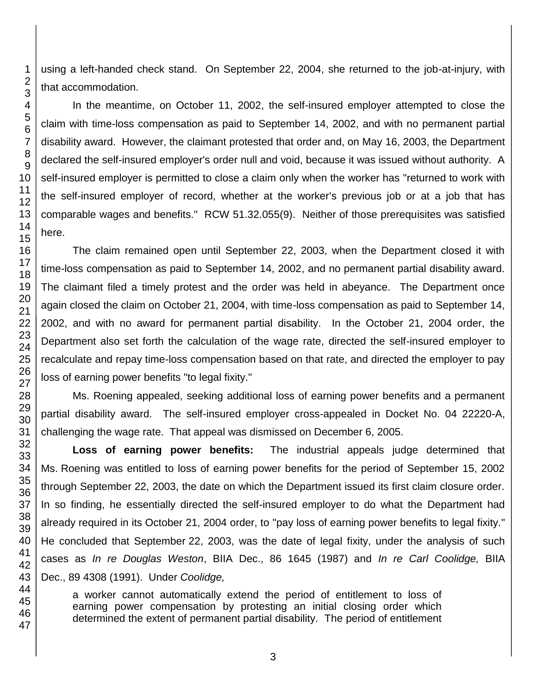using a left-handed check stand. On September 22, 2004, she returned to the job-at-injury, with that accommodation.

In the meantime, on October 11, 2002, the self-insured employer attempted to close the claim with time-loss compensation as paid to September 14, 2002, and with no permanent partial disability award. However, the claimant protested that order and, on May 16, 2003, the Department declared the self-insured employer's order null and void, because it was issued without authority. A self-insured employer is permitted to close a claim only when the worker has "returned to work with the self-insured employer of record, whether at the worker's previous job or at a job that has comparable wages and benefits." RCW 51.32.055(9). Neither of those prerequisites was satisfied here.

The claim remained open until September 22, 2003, when the Department closed it with time-loss compensation as paid to September 14, 2002, and no permanent partial disability award. The claimant filed a timely protest and the order was held in abeyance. The Department once again closed the claim on October 21, 2004, with time-loss compensation as paid to September 14, 2002, and with no award for permanent partial disability. In the October 21, 2004 order, the Department also set forth the calculation of the wage rate, directed the self-insured employer to recalculate and repay time-loss compensation based on that rate, and directed the employer to pay loss of earning power benefits "to legal fixity."

Ms. Roening appealed, seeking additional loss of earning power benefits and a permanent partial disability award. The self-insured employer cross-appealed in Docket No. 04 22220-A, challenging the wage rate. That appeal was dismissed on December 6, 2005.

**Loss of earning power benefits:** The industrial appeals judge determined that Ms. Roening was entitled to loss of earning power benefits for the period of September 15, 2002 through September 22, 2003, the date on which the Department issued its first claim closure order. In so finding, he essentially directed the self-insured employer to do what the Department had already required in its October 21, 2004 order, to "pay loss of earning power benefits to legal fixity." He concluded that September 22, 2003, was the date of legal fixity, under the analysis of such cases as *In re Douglas Weston*, BIIA Dec., 86 1645 (1987) and *In re Carl Coolidge,* BIIA Dec., 89 4308 (1991). Under *Coolidge,*

a worker cannot automatically extend the period of entitlement to loss of earning power compensation by protesting an initial closing order which determined the extent of permanent partial disability. The period of entitlement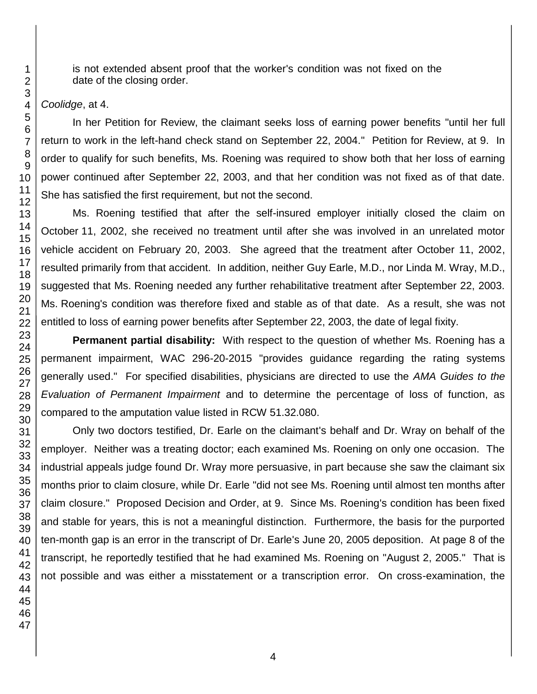is not extended absent proof that the worker's condition was not fixed on the date of the closing order.

#### *Coolidge*, at 4.

In her Petition for Review, the claimant seeks loss of earning power benefits "until her full return to work in the left-hand check stand on September 22, 2004." Petition for Review, at 9. In order to qualify for such benefits, Ms. Roening was required to show both that her loss of earning power continued after September 22, 2003, and that her condition was not fixed as of that date. She has satisfied the first requirement, but not the second.

Ms. Roening testified that after the self-insured employer initially closed the claim on October 11, 2002, she received no treatment until after she was involved in an unrelated motor vehicle accident on February 20, 2003. She agreed that the treatment after October 11, 2002, resulted primarily from that accident. In addition, neither Guy Earle, M.D., nor Linda M. Wray, M.D., suggested that Ms. Roening needed any further rehabilitative treatment after September 22, 2003. Ms. Roening's condition was therefore fixed and stable as of that date. As a result, she was not entitled to loss of earning power benefits after September 22, 2003, the date of legal fixity.

**Permanent partial disability:** With respect to the question of whether Ms. Roening has a permanent impairment, WAC 296-20-2015 "provides guidance regarding the rating systems generally used." For specified disabilities, physicians are directed to use the *AMA Guides to the Evaluation of Permanent Impairment* and to determine the percentage of loss of function, as compared to the amputation value listed in RCW 51.32.080.

Only two doctors testified, Dr. Earle on the claimant's behalf and Dr. Wray on behalf of the employer. Neither was a treating doctor; each examined Ms. Roening on only one occasion. The industrial appeals judge found Dr. Wray more persuasive, in part because she saw the claimant six months prior to claim closure, while Dr. Earle "did not see Ms. Roening until almost ten months after claim closure." Proposed Decision and Order, at 9. Since Ms. Roening's condition has been fixed and stable for years, this is not a meaningful distinction. Furthermore, the basis for the purported ten-month gap is an error in the transcript of Dr. Earle's June 20, 2005 deposition. At page 8 of the transcript, he reportedly testified that he had examined Ms. Roening on "August 2, 2005." That is not possible and was either a misstatement or a transcription error. On cross-examination, the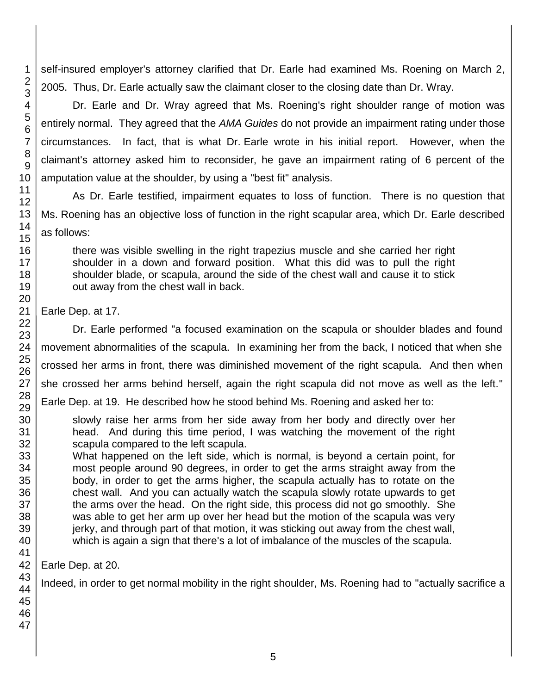self-insured employer's attorney clarified that Dr. Earle had examined Ms. Roening on March 2, 2005. Thus, Dr. Earle actually saw the claimant closer to the closing date than Dr. Wray.

Dr. Earle and Dr. Wray agreed that Ms. Roening's right shoulder range of motion was entirely normal. They agreed that the *AMA Guides* do not provide an impairment rating under those circumstances. In fact, that is what Dr. Earle wrote in his initial report. However, when the claimant's attorney asked him to reconsider, he gave an impairment rating of 6 percent of the amputation value at the shoulder, by using a "best fit" analysis.

As Dr. Earle testified, impairment equates to loss of function. There is no question that Ms. Roening has an objective loss of function in the right scapular area, which Dr. Earle described as follows:

there was visible swelling in the right trapezius muscle and she carried her right shoulder in a down and forward position. What this did was to pull the right shoulder blade, or scapula, around the side of the chest wall and cause it to stick out away from the chest wall in back.

Earle Dep. at 17.

Dr. Earle performed "a focused examination on the scapula or shoulder blades and found movement abnormalities of the scapula. In examining her from the back, I noticed that when she crossed her arms in front, there was diminished movement of the right scapula. And then when she crossed her arms behind herself, again the right scapula did not move as well as the left." Earle Dep. at 19. He described how he stood behind Ms. Roening and asked her to:

- slowly raise her arms from her side away from her body and directly over her head. And during this time period, I was watching the movement of the right scapula compared to the left scapula.
- What happened on the left side, which is normal, is beyond a certain point, for most people around 90 degrees, in order to get the arms straight away from the body, in order to get the arms higher, the scapula actually has to rotate on the chest wall. And you can actually watch the scapula slowly rotate upwards to get the arms over the head. On the right side, this process did not go smoothly. She was able to get her arm up over her head but the motion of the scapula was very jerky, and through part of that motion, it was sticking out away from the chest wall, which is again a sign that there's a lot of imbalance of the muscles of the scapula.

Earle Dep. at 20.

Indeed, in order to get normal mobility in the right shoulder, Ms. Roening had to "actually sacrifice a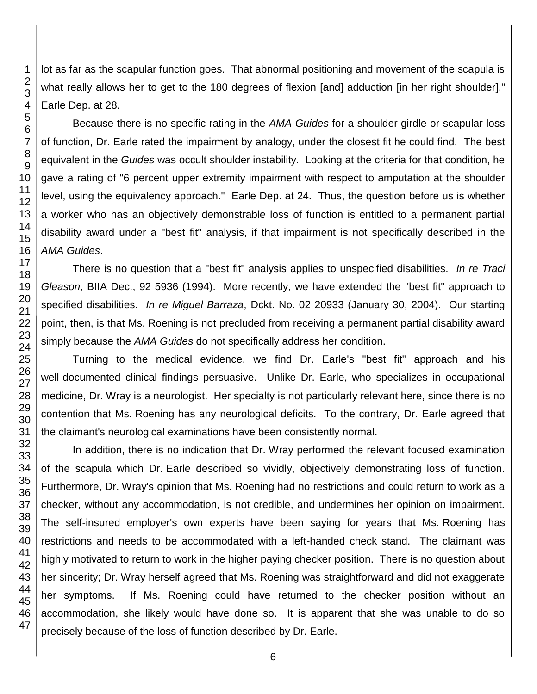lot as far as the scapular function goes. That abnormal positioning and movement of the scapula is what really allows her to get to the 180 degrees of flexion [and] adduction [in her right shoulder]." Earle Dep. at 28.

Because there is no specific rating in the *AMA Guides* for a shoulder girdle or scapular loss of function, Dr. Earle rated the impairment by analogy, under the closest fit he could find. The best equivalent in the *Guides* was occult shoulder instability. Looking at the criteria for that condition, he gave a rating of "6 percent upper extremity impairment with respect to amputation at the shoulder level, using the equivalency approach." Earle Dep. at 24. Thus, the question before us is whether a worker who has an objectively demonstrable loss of function is entitled to a permanent partial disability award under a "best fit" analysis, if that impairment is not specifically described in the *AMA Guides*.

There is no question that a "best fit" analysis applies to unspecified disabilities. *In re Traci Gleason*, BIIA Dec., 92 5936 (1994). More recently, we have extended the "best fit" approach to specified disabilities. *In re Miguel Barraza*, Dckt. No. 02 20933 (January 30, 2004). Our starting point, then, is that Ms. Roening is not precluded from receiving a permanent partial disability award simply because the *AMA Guides* do not specifically address her condition.

Turning to the medical evidence, we find Dr. Earle's "best fit" approach and his well-documented clinical findings persuasive. Unlike Dr. Earle, who specializes in occupational medicine, Dr. Wray is a neurologist. Her specialty is not particularly relevant here, since there is no contention that Ms. Roening has any neurological deficits. To the contrary, Dr. Earle agreed that the claimant's neurological examinations have been consistently normal.

In addition, there is no indication that Dr. Wray performed the relevant focused examination of the scapula which Dr. Earle described so vividly, objectively demonstrating loss of function. Furthermore, Dr. Wray's opinion that Ms. Roening had no restrictions and could return to work as a checker, without any accommodation, is not credible, and undermines her opinion on impairment. The self-insured employer's own experts have been saying for years that Ms. Roening has restrictions and needs to be accommodated with a left-handed check stand. The claimant was highly motivated to return to work in the higher paying checker position. There is no question about her sincerity; Dr. Wray herself agreed that Ms. Roening was straightforward and did not exaggerate her symptoms. If Ms. Roening could have returned to the checker position without an accommodation, she likely would have done so. It is apparent that she was unable to do so precisely because of the loss of function described by Dr. Earle.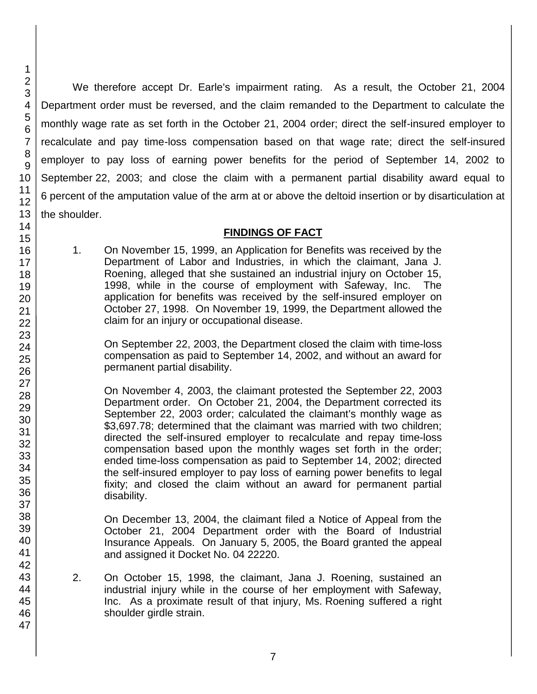We therefore accept Dr. Earle's impairment rating. As a result, the October 21, 2004 Department order must be reversed, and the claim remanded to the Department to calculate the monthly wage rate as set forth in the October 21, 2004 order; direct the self-insured employer to recalculate and pay time-loss compensation based on that wage rate; direct the self-insured employer to pay loss of earning power benefits for the period of September 14, 2002 to September 22, 2003; and close the claim with a permanent partial disability award equal to 6 percent of the amputation value of the arm at or above the deltoid insertion or by disarticulation at the shoulder.

### **FINDINGS OF FACT**

1. On November 15, 1999, an Application for Benefits was received by the Department of Labor and Industries, in which the claimant, Jana J. Roening, alleged that she sustained an industrial injury on October 15, 1998, while in the course of employment with Safeway, Inc. The application for benefits was received by the self-insured employer on October 27, 1998. On November 19, 1999, the Department allowed the claim for an injury or occupational disease.

On September 22, 2003, the Department closed the claim with time-loss compensation as paid to September 14, 2002, and without an award for permanent partial disability.

On November 4, 2003, the claimant protested the September 22, 2003 Department order. On October 21, 2004, the Department corrected its September 22, 2003 order; calculated the claimant's monthly wage as \$3,697.78; determined that the claimant was married with two children; directed the self-insured employer to recalculate and repay time-loss compensation based upon the monthly wages set forth in the order; ended time-loss compensation as paid to September 14, 2002; directed the self-insured employer to pay loss of earning power benefits to legal fixity; and closed the claim without an award for permanent partial disability.

On December 13, 2004, the claimant filed a Notice of Appeal from the October 21, 2004 Department order with the Board of Industrial Insurance Appeals. On January 5, 2005, the Board granted the appeal and assigned it Docket No. 04 22220.

- 2. On October 15, 1998, the claimant, Jana J. Roening, sustained an industrial injury while in the course of her employment with Safeway, Inc. As a proximate result of that injury, Ms. Roening suffered a right shoulder girdle strain.
- 2 3 4 5 6 7 8 9 10 11 12 13 14 15 16 17 18 19 20 21 22 23 24 25 26 27 28 29 30 31 32 33 34 35 36 37 38 39 40 41 42 43 44 45 46 47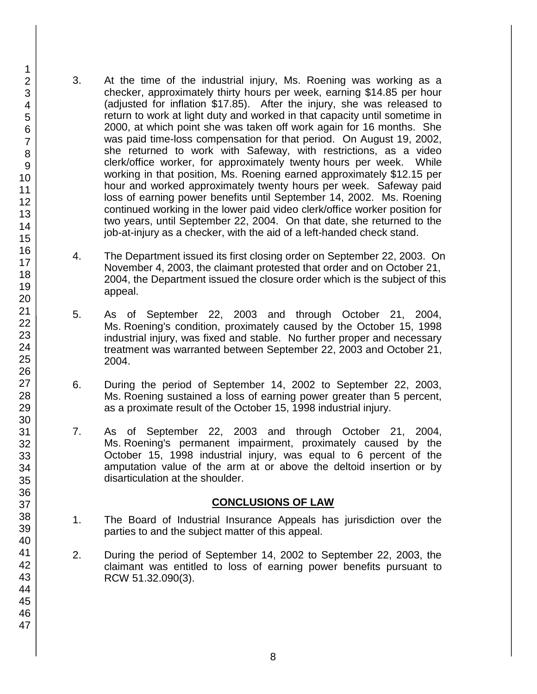- 3. At the time of the industrial injury, Ms. Roening was working as a checker, approximately thirty hours per week, earning \$14.85 per hour (adjusted for inflation \$17.85). After the injury, she was released to return to work at light duty and worked in that capacity until sometime in 2000, at which point she was taken off work again for 16 months. She was paid time-loss compensation for that period. On August 19, 2002, she returned to work with Safeway, with restrictions, as a video clerk/office worker, for approximately twenty hours per week. While working in that position, Ms. Roening earned approximately \$12.15 per hour and worked approximately twenty hours per week. Safeway paid loss of earning power benefits until September 14, 2002. Ms. Roening continued working in the lower paid video clerk/office worker position for two years, until September 22, 2004. On that date, she returned to the job-at-injury as a checker, with the aid of a left-handed check stand.
- 4. The Department issued its first closing order on September 22, 2003. On November 4, 2003, the claimant protested that order and on October 21, 2004, the Department issued the closure order which is the subject of this appeal.
- 5. As of September 22, 2003 and through October 21, 2004, Ms. Roening's condition, proximately caused by the October 15, 1998 industrial injury, was fixed and stable. No further proper and necessary treatment was warranted between September 22, 2003 and October 21, 2004.
- 6. During the period of September 14, 2002 to September 22, 2003, Ms. Roening sustained a loss of earning power greater than 5 percent, as a proximate result of the October 15, 1998 industrial injury.
- 7. As of September 22, 2003 and through October 21, 2004, Ms. Roening's permanent impairment, proximately caused by the October 15, 1998 industrial injury, was equal to 6 percent of the amputation value of the arm at or above the deltoid insertion or by disarticulation at the shoulder.

#### **CONCLUSIONS OF LAW**

- 1. The Board of Industrial Insurance Appeals has jurisdiction over the parties to and the subject matter of this appeal.
- 2. During the period of September 14, 2002 to September 22, 2003, the claimant was entitled to loss of earning power benefits pursuant to RCW 51.32.090(3).